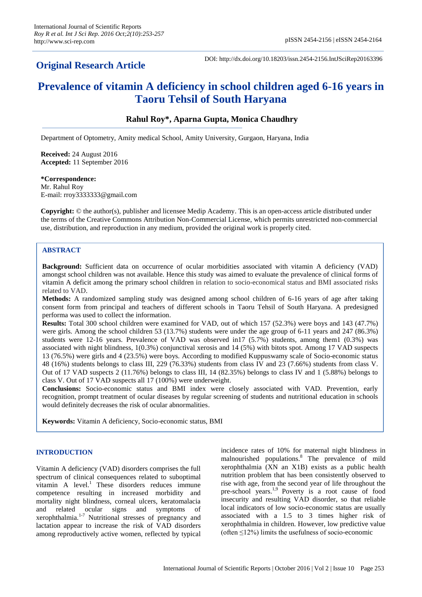# **Original Research Article**

DOI: http://dx.doi.org/10.18203/issn.2454-2156.IntJSciRep20163396

# **Prevalence of vitamin A deficiency in school children aged 6-16 years in Taoru Tehsil of South Haryana**

# **Rahul Roy\*, Aparna Gupta, Monica Chaudhry**

Department of Optometry, Amity medical School, Amity University, Gurgaon, Haryana, India

**Received:** 24 August 2016 **Accepted:** 11 September 2016

#### **\*Correspondence:** Mr. Rahul Roy E-mail: rroy3333333@gmail.com

**Copyright:** © the author(s), publisher and licensee Medip Academy. This is an open-access article distributed under the terms of the Creative Commons Attribution Non-Commercial License, which permits unrestricted non-commercial use, distribution, and reproduction in any medium, provided the original work is properly cited.

# **ABSTRACT**

**Background:** Sufficient data on occurrence of ocular morbidities associated with vitamin A deficiency (VAD) amongst school children was not available. Hence this study was aimed to evaluate the prevalence of clinical forms of vitamin A deficit among the primary school children in relation to socio-economical status and BMI associated risks related to VAD.

**Methods:** A randomized sampling study was designed among school children of 6-16 years of age after taking consent form from principal and teachers of different schools in Taoru Tehsil of South Haryana. A predesigned performa was used to collect the information.

**Results:** Total 300 school children were examined for VAD, out of which 157 (52.3%) were boys and 143 (47.7%) were girls. Among the school children 53 (13.7%) students were under the age group of 6-11 years and 247 (86.3%) students were 12-16 years. Prevalence of VAD was observed in17 (5.7%) students, among them1 (0.3%) was associated with night blindness, 1(0.3%) conjunctival xerosis and 14 (5%) with bitots spot. Among 17 VAD suspects 13 (76.5%) were girls and 4 (23.5%) were boys. According to modified Kuppuswamy scale of Socio-economic status 48 (16%) students belongs to class III, 229 (76.33%) students from class IV and 23 (7.66%) students from class V. Out of 17 VAD suspects 2 (11.76%) belongs to class III, 14 (82.35%) belongs to class IV and 1 (5.88%) belongs to class V. Out of 17 VAD suspects all 17 (100%) were underweight.

**Conclusions:** Socio-economic status and BMI index were closely associated with VAD. Prevention, early recognition, prompt treatment of ocular diseases by regular screening of students and nutritional education in schools would definitely decreases the risk of ocular abnormalities.

**Keywords:** Vitamin A deficiency, Socio-economic status, BMI

# **INTRODUCTION**

Vitamin A deficiency (VAD) disorders comprises the full spectrum of clinical consequences related to suboptimal vitamin A level. <sup>1</sup> These disorders reduces immune competence resulting in increased morbidity and mortality night blindness, corneal ulcers, keratomalacia and related ocular signs and symptoms of xerophthalmia.<sup>1-7</sup> Nutritional stresses of pregnancy and lactation appear to increase the risk of VAD disorders among reproductively active women, reflected by typical incidence rates of 10% for maternal night blindness in malnourished populations.<sup>8</sup> The prevalence of mild xerophthalmia (XN an X1B) exists as a public health nutrition problem that has been consistently observed to rise with age, from the second year of life throughout the pre-school years.<sup>1,9</sup> Poverty is a root cause of food insecurity and resulting VAD disorder, so that reliable local indicators of low socio-economic status are usually associated with a 1.5 to 3 times higher risk of xerophthalmia in children. However, low predictive value (often  $\leq$ 12%) limits the usefulness of socio-economic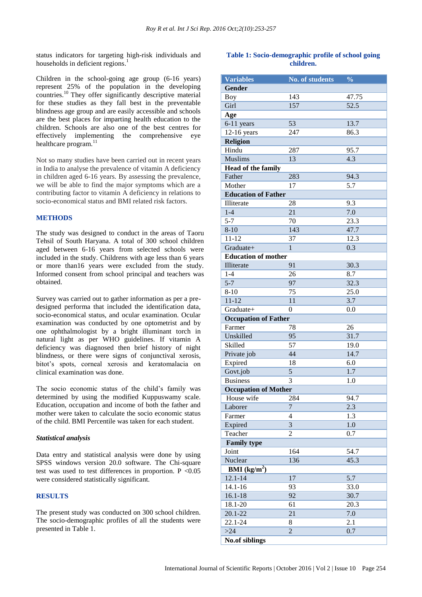status indicators for targeting high-risk individuals and households in deficient regions.<sup>1</sup>

Children in the school-going age group (6-16 years) represent 25% of the population in the developing countries.<sup>10</sup> They offer significantly descriptive material for these studies as they fall best in the preventable blindness age group and are easily accessible and schools are the best places for imparting health education to the children. Schools are also one of the best centres for effectively implementing the comprehensive eye healthcare program.<sup>11</sup>

Not so many studies have been carried out in recent years in India to analyse the prevalence of vitamin A deficiency in children aged 6-16 years. By assessing the prevalence, we will be able to find the major symptoms which are a contributing factor to vitamin A deficiency in relations to socio-economical status and BMI related risk factors.

# **METHODS**

The study was designed to conduct in the areas of Taoru Tehsil of South Haryana. A total of 300 school children aged between 6-16 years from selected schools were included in the study. Childrens with age less than 6 years or more than16 years were excluded from the study. Informed consent from school principal and teachers was obtained.

Survey was carried out to gather information as per a predesigned performa that included the identification data, socio-economical status, and ocular examination. Ocular examination was conducted by one optometrist and by one ophthalmologist by a bright illuminant torch in natural light as per WHO guidelines. If vitamin A deficiency was diagnosed then brief history of night blindness, or there were signs of conjunctival xerosis, bitot's spots, corneal xerosis and keratomalacia on clinical examination was done.

The socio economic status of the child's family was determined by using the modified Kuppuswamy scale. Education, occupation and income of both the father and mother were taken to calculate the socio economic status of the child. BMI Percentile was taken for each student.

# *Statistical analysis*

Data entry and statistical analysis were done by using SPSS windows version 20.0 software. The Chi-square test was used to test differences in proportion.  $P < 0.05$ were considered statistically significant.

# **RESULTS**

The present study was conducted on 300 school children. The socio-demographic profiles of all the students were presented in Table 1.

# **Table 1: Socio-demographic profile of school going children.**

| <b>Variables</b>               | <b>No. of students</b> | $\frac{0}{0}$    |
|--------------------------------|------------------------|------------------|
| Gender                         |                        |                  |
| <b>Boy</b>                     | 143                    | 47.75            |
| Girl                           | 157                    | 52.5             |
| Age                            |                        |                  |
| 6-11 years                     | 53                     | 13.7             |
| $12-16$ years                  | 247                    | 86.3             |
| <b>Religion</b>                |                        |                  |
| Hindu                          | 287                    | 95.7             |
| <b>Muslims</b>                 | 13                     | 4.3              |
| <b>Head of the family</b>      |                        |                  |
| Father                         | 283                    | 94.3             |
| Mother                         | 17                     | 5.7              |
| <b>Education of Father</b>     |                        |                  |
| Illiterate                     | 28                     | 9.3              |
| $1-4$                          | 21                     | 7.0              |
| $5 - 7$                        | 70                     | 23.3             |
| $8 - 10$                       | 143                    | 47.7             |
| $11 - 12$                      | 37                     | 12.3             |
| Graduate+                      | $\mathbf{1}$           | 0.3              |
| <b>Education of mother</b>     |                        |                  |
| Illiterate                     | 91                     | 30.3             |
| $1-4$                          | 26                     | 8.7              |
| $5 - 7$                        | 97                     | 32.3             |
| $8 - 10$                       | 75                     | 25.0             |
| $11 - 12$                      | 11                     | 3.7              |
| Graduate+                      | 0                      | 0.0              |
| <b>Occupation of Father</b>    |                        |                  |
| Farmer                         | 78                     | 26               |
| Unskilled                      | 95                     | 31.7             |
| Skilled                        | 57                     | 19.0             |
| Private job                    | 44                     | 14.7             |
| Expired                        | 18                     | 6.0              |
| Govt.job                       | 5                      | 1.7              |
| <b>Business</b>                | 3                      | 1.0              |
| <b>Occupation of Mother</b>    |                        |                  |
| House wife                     | 284                    | 94.7             |
| Laborer                        | $\overline{7}$         | 2.3              |
| Farmer                         | 4                      | 1.3              |
| Expired                        | 3                      | $1.0\,$          |
| Teacher                        | 2                      | 0.7              |
| <b>Family type</b>             |                        |                  |
| Joint                          | 164                    | 54.7             |
| Nuclear                        | 136                    | 45.3             |
| <b>BMI</b> ( $\text{kg/m}^2$ ) |                        |                  |
| $12.1 - 14$                    | 17                     | $\overline{5.7}$ |
| $14.1 - 16$                    | 93                     | 33.0             |
| $16.1 - 18$                    | 92                     | 30.7             |
| 18.1-20                        | 61                     | 20.3             |
| $20.1 - 22$                    | 21                     | 7.0              |
| 22.1-24                        | 8                      | 2.1              |
| $>24$                          | $\overline{2}$         | 0.7              |
| <b>No.of siblings</b>          |                        |                  |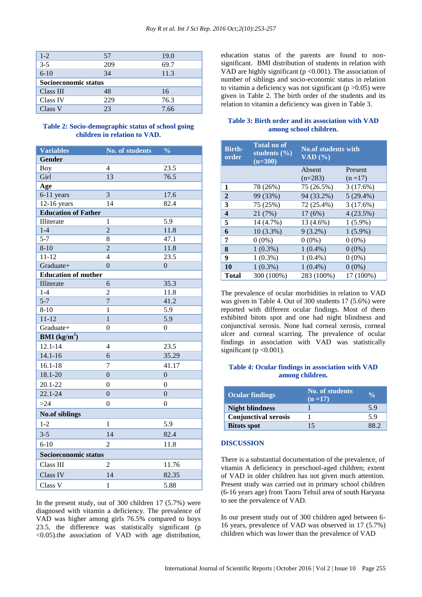| $1 - 2$              | 57  | 19.0 |  |
|----------------------|-----|------|--|
| $3 - 5$              | 209 | 69.7 |  |
| $6-10$               | 34  | 11.3 |  |
| Socioeconomic status |     |      |  |
| Class III            | 48  | 16   |  |
| Class IV             | 229 | 76.3 |  |
| Class V              | 23  | 7.66 |  |

#### **Table 2: Socio-demographic status of school going children in relation to VAD.**

| <b>Variables</b>               | <b>No. of students</b> | $\frac{0}{0}$    |  |
|--------------------------------|------------------------|------------------|--|
| Gender                         |                        |                  |  |
| <b>Boy</b>                     | 4                      | 23.5             |  |
| Girl                           | 13                     | 76.5             |  |
| Age                            |                        |                  |  |
| 6-11 years                     | $\overline{3}$         | 17.6             |  |
| $12-16$ years                  | 14                     | 82.4             |  |
| <b>Education of Father</b>     |                        |                  |  |
| Illiterate                     | $\mathbf{1}$           | 5.9              |  |
| $1-4$                          | $\overline{2}$         | 11.8             |  |
| $5 - 7$                        | 8                      | 47.1             |  |
| $8 - 10$                       | $\overline{2}$         | 11.8             |  |
| $11 - 12$                      | 4                      | 23.5             |  |
| Graduate+                      | $\overline{0}$         | $\boldsymbol{0}$ |  |
| <b>Education of mother</b>     |                        |                  |  |
| Illiterate                     | 6                      | 35.3             |  |
| $1-4$                          | $\overline{2}$         | 11.8             |  |
| $5 - 7$                        | $\overline{7}$         | 41.2             |  |
| $8 - 10$                       | 1                      | 5.9              |  |
| $11 - 12$                      | $\overline{1}$         | 5.9              |  |
| Graduate+                      | $\overline{0}$         | $\overline{0}$   |  |
| <b>BMI</b> ( $\text{kg/m}^2$ ) |                        |                  |  |
| $12.1 - 14$                    | 4                      | 23.5             |  |
| $14.1 - 16$                    | 6                      | 35.29            |  |
| $16.1 - 18$                    | 7                      | 41.17            |  |
| $18.1 - 20$                    | $\overline{0}$         | $\overline{0}$   |  |
| $20.1 - 22$                    | $\theta$               | $\theta$         |  |
| $22.1 - 24$                    | $\overline{0}$         | $\overline{0}$   |  |
| >24                            | $\overline{0}$         | $\overline{0}$   |  |
| <b>No.of siblings</b>          |                        |                  |  |
| $1 - 2$                        | 1                      | 5.9              |  |
| $3 - 5$                        | 14                     | 82.4             |  |
| $6 - 10$                       | $\overline{2}$         | 11.8             |  |
| Socioeconomic status           |                        |                  |  |
| Class III                      | 2                      | 11.76            |  |
| Class IV                       | 14                     | 82.35            |  |
| Class V                        | $\mathbf{1}$           | 5.88             |  |

In the present study, out of 300 children 17 (5.7%) were diagnosed with vitamin a deficiency. The prevalence of VAD was higher among girls 76.5% compared to boys 23.5, the difference was statistically significant (p <0.05).the association of VAD with age distribution, education status of the parents are found to nonsignificant. BMI distribution of students in relation with VAD are highly significant ( $p < 0.001$ ). The association of number of siblings and socio-economic status in relation to vitamin a deficiency was not significant  $(p > 0.05)$  were given in Table 2. The birth order of the students and its relation to vitamin a deficiency was given in Table 3.

#### **Table 3: Birth order and its association with VAD among school children.**

| <b>Birth-</b><br>order  | <b>Total no of</b><br>students $(\frac{0}{0})$<br>$\overline{n}$ =300) | <b>No.of students with</b><br>$\overline{\text{VAD}(\%)}$ |             |
|-------------------------|------------------------------------------------------------------------|-----------------------------------------------------------|-------------|
|                         |                                                                        | Absent                                                    | Present     |
|                         |                                                                        | $(n=283)$                                                 | $(n=17)$    |
| 1                       | 78 (26%)                                                               | 75 (26.5%)                                                | 3(17.6%)    |
| $\overline{2}$          | 99 (33%)                                                               | 94 (33.2%)                                                | $5(29.4\%)$ |
| 3                       | 75 (25%)                                                               | 72 (25.4%)                                                | 3(17.6%)    |
| $\overline{\mathbf{4}}$ | 21 (7%)                                                                | 17(6%)                                                    | 4(23.5%)    |
| 5                       | 14 (4.7%)                                                              | 13 (4.6%)                                                 | $1(5.9\%)$  |
| 6                       | $10(3.3\%)$                                                            | $9(3.2\%)$                                                | $1(5.9\%)$  |
| 7                       | $0(0\%)$                                                               | $0(0\%)$                                                  | $0(0\%)$    |
| 8                       | $1(0.3\%)$                                                             | $1(0.4\%)$                                                | $0(0\%)$    |
| 9                       | $1(0.3\%)$                                                             | $1(0.4\%)$                                                | $0(0\%)$    |
| 10                      | $1(0.3\%)$                                                             | $1(0.4\%)$                                                | $0(0\%)$    |
| <b>Total</b>            | 300 (100%)                                                             | 283 (100%)                                                | 17 (100%)   |

The prevalence of ocular morbidities in relation to VAD was given in Table 4. Out of 300 students 17 (5.6%) were reported with different ocular findings. Most of them exhibited bitots spot and one had night blindness and conjunctival xerosis. None had corneal xerosis, corneal ulcer and corneal scarring. The prevalence of ocular findings in association with VAD was statistically significant ( $p < 0.001$ ).

#### **Table 4: Ocular findings in association with VAD among children.**

| <b>Ocular findings</b>      | <b>No. of students</b><br>$(n = 17)$ |     |
|-----------------------------|--------------------------------------|-----|
| <b>Night blindness</b>      |                                      | 5.9 |
| <b>Conjunctival xerosis</b> |                                      | 5.9 |
| <b>Bitots spot</b>          | 15                                   |     |

#### **DISCUSSION**

There is a substantial documentation of the prevalence, of vitamin A deficiency in preschool-aged children; extent of VAD in older children has not given much attention. Present study was carried out in primary school children (6-16 years age) from Taoru Tehsil area of south Haryana to see the prevalence of VAD.

In our present study out of 300 children aged between 6- 16 years, prevalence of VAD was observed in 17 (5.7%) children which was lower than the prevalence of VAD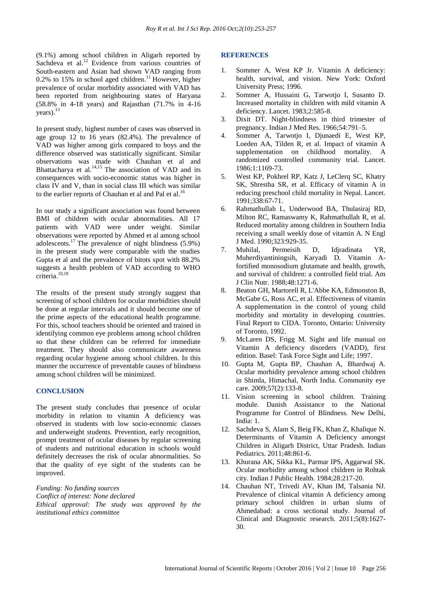(9.1%) among school children in Aligarh reported by Sachdeva et al.<sup>12</sup> Evidence from various countries of South-eastern and Asian had shown VAD ranging from 0.2% to 15% in school aged children.<sup>11</sup> However, higher prevalence of ocular morbidity associated with VAD has been reported from neighbouring states of Haryana (58.8% in 4-18 years) and Rajasthan (71.7% in 4-16 years).<sup>13</sup>

In present study, highest number of cases was observed in age group 12 to 16 years (82.4%). The prevalence of VAD was higher among girls compared to boys and the difference observed was statistically significant. Similar observations was made with Chauhan et al and Bhattacharya et al.<sup>14,15</sup> The association of VAD and its consequences with socio-economic status was higher in class IV and V, than in social class III which was similar to the earlier reports of Chauhan et al and Pal et al.<sup>16</sup>

In our study a significant association was found between BMI of children with ocular abnormalities. All 17 patients with VAD were under weight. Similar observations were reported by Ahmed et al among school adolescents. $17$  The prevalence of night blindness (5.9%) in the present study were comparable with the studies Gupta et al and the prevalence of bitots spot with 88.2% suggests a health problem of VAD according to WHO criteria.<sup>10,18</sup>

The results of the present study strongly suggest that screening of school children for ocular morbidities should be done at regular intervals and it should become one of the prime aspects of the educational health programme. For this, school teachers should be oriented and trained in identifying common eye problems among school children so that these children can be referred for immediate treatment. They should also communicate awareness regarding ocular hygiene among school children. In this manner the occurrence of preventable causes of blindness among school children will be minimized.

# **CONCLUSION**

The present study concludes that presence of ocular morbidity in relation to vitamin A deficiency was observed in students with low socio-economic classes and underweight students. Prevention, early recognition, prompt treatment of ocular diseases by regular screening of students and nutritional education in schools would definitely decreases the risk of ocular abnormalities. So that the quality of eye sight of the students can be improved.

*Funding: No funding sources Conflict of interest: None declared Ethical approval: The study was approved by the institutional ethics committee*

#### **REFERENCES**

- 1. Sommer A, West KP Jr. Vitamin A deficiency: health, survival, and vision. New York: Oxford University Press; 1996.
- 2. Sommer A, Hussaini G, Tarwotjo I, Susanto D. Increased mortality in children with mild vitamin A deficiency. Lancet. 1983;2:585-8.
- 3. Dixit DT. Night-blindness in third trimester of pregnancy. Indian J Med Res. 1966;54:791–5.
- 4. Sommer A, Tarwotjo I, Djunaedi E, West KP, Loeden AA, Tilden R, et al. Impact of vitamin A supplementation on childhood mortality. A randomized controlled community trial. Lancet. 1986;1:1169-73.
- 5. West KP, Pokhrel RP, Katz J, LeClerq SC, Khatry SK, Shrestha SR, et al. Efficacy of vitamin A in reducing preschool child mortality in Nepal. Lancet. 1991;338:67-71.
- 6. Rahmathullah L, Underwood BA, Thulasiraj RD, Milton RC, Ramaswamy K, Rahmathullah R, et al. Reduced mortality among children in Southern India receiving a small weekly dose of vitamin A. N Engl J Med. 1990;323:929-35.
- 7. Muhilal, Permeisih D, Idjradinata YR, Muherdiyantiningsih, Karyadi D. Vitamin Afortified monosodium glutamate and health, growth, and survival of children: a controlled field trial. Am J Clin Nutr. 1988;48:1271-6.
- 8. Beaton GH, Martorell R, L'Abbe KA, Edmonston B, McGabe G, Ross AC, et al. Effectiveness of vitamin A supplementation in the control of young child morbidity and mortality in developing countries. Final Report to CIDA. Toronto, Ontario: University of Toronto, 1992.
- 9. McLaren DS, Frigg M. Sight and life manual on Vitamin A deficiency disorders (VADD), first edition. Basel: Task Force Sight and Life; 1997.
- 10. [Gupta](http://www.ijo.in/searchresult.asp?search=&author=Madhu+Gupta&journal=Y&but_search=Search&entries=10&pg=1&s=0) M, [Gupta](http://www.ijo.in/searchresult.asp?search=&author=Bhupinder+P+Gupta&journal=Y&but_search=Search&entries=10&pg=1&s=0) BP, [Chauhan](http://www.ijo.in/searchresult.asp?search=&author=Anil+Chauhan&journal=Y&but_search=Search&entries=10&pg=1&s=0) A, [Bhardwaj](http://www.ijo.in/searchresult.asp?search=&author=Ashok+Bhardwaj&journal=Y&but_search=Search&entries=10&pg=1&s=0) A. Ocular morbidity prevalence among school children in Shimla, Himachal, North India. Community eye care. 2009;57(2):133-8.
- 11. Vision screening in school children. Training module. Danish Assistance to the National Programme for Control of Blindness. New Delhi, India: 1.
- 12. Sachdeva S, Alam S, Beig FK, Khan Z, Khalique N. Determinants of Vitamin A Deficiency amongst Children in Aligarh District, Uttar Pradesh. Indian Pediatrics. 2011;48:861-6.
- 13. Khurana AK, Sikka KL, Parmar IPS, Aggarwal SK. Ocular morbidity among school children in Rohtak city. Indian J Public Health. 1984;28:217-20.
- 14. Chauhan NT, Trivedi AV, Khan IM, Talsania NJ. Prevalence of clinical vitamin A deficiency among primary school children in urban slums of Ahmedabad: a cross sectional study. Journal of Clinical and Diagnostic research. 2011;5(8):1627- 30.